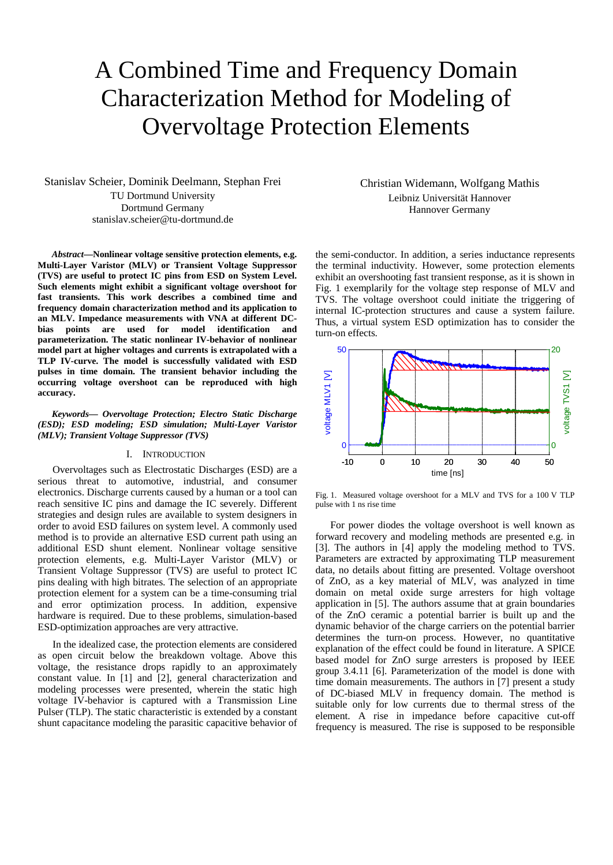# A Combined Time and Frequency Domain Characterization Method for Modeling of Overvoltage Protection Elements

Stanislav Scheier, Dominik Deelmann, Stephan Frei TU Dortmund University Dortmund Germany stanislav.scheier@tu-dortmund.de

*Abstract***—Nonlinear voltage sensitive protection elements, e.g. Multi-Layer Varistor (MLV) or Transient Voltage Suppressor (TVS) are useful to protect IC pins from ESD on System Level. Such elements might exhibit a significant voltage overshoot for fast transients. This work describes a combined time and frequency domain characterization method and its application to an MLV. Impedance measurements with VNA at different DCbias points are used for model identification and parameterization. The static nonlinear IV-behavior of nonlinear model part at higher voltages and currents is extrapolated with a TLP IV-curve. The model is successfully validated with ESD pulses in time domain. The transient behavior including the occurring voltage overshoot can be reproduced with high accuracy.**

*Keywords— Overvoltage Protection; Electro Static Discharge (ESD); ESD modeling; ESD simulation; Multi-Layer Varistor (MLV); Transient Voltage Suppressor (TVS)*

# I. INTRODUCTION

Overvoltages such as Electrostatic Discharges (ESD) are a serious threat to automotive, industrial, and consumer electronics. Discharge currents caused by a human or a tool can reach sensitive IC pins and damage the IC severely. Different strategies and design rules are available to system designers in order to avoid ESD failures on system level. A commonly used method is to provide an alternative ESD current path using an additional ESD shunt element. Nonlinear voltage sensitive protection elements, e.g. Multi-Layer Varistor (MLV) or Transient Voltage Suppressor (TVS) are useful to protect IC pins dealing with high bitrates. The selection of an appropriate protection element for a system can be a time-consuming trial and error optimization process. In addition, expensive hardware is required. Due to these problems, simulation-based ESD-optimization approaches are very attractive.

In the idealized case, the protection elements are considered as open circuit below the breakdown voltage. Above this voltage, the resistance drops rapidly to an approximately constant value. In [\[1\]](#page-5-0) and [\[2\],](#page-5-1) general characterization and modeling processes were presented, wherein the static high voltage IV-behavior is captured with a Transmission Line Pulser (TLP). The static characteristic is extended by a constant shunt capacitance modeling the parasitic capacitive behavior of Christian Widemann, Wolfgang Mathis Leibniz Universität Hannover Hannover Germany

the semi-conductor. In addition, a series inductance represents the terminal inductivity. However, some protection elements exhibit an overshooting fast transient response, as it is shown in [Fig. 1](#page-0-0) exemplarily for the voltage step response of MLV and TVS. The voltage overshoot could initiate the triggering of internal IC-protection structures and cause a system failure. Thus, a virtual system ESD optimization has to consider the turn-on effects.



<span id="page-0-0"></span>Fig. 1. Measured voltage overshoot for a MLV and TVS for a 100 V TLP pulse with 1 ns rise time

For power diodes the voltage overshoot is well known as forward recovery and modeling methods are presented e.g. in [\[3\].](#page-5-2) The authors in [\[4\]](#page-5-3) apply the modeling method to TVS. Parameters are extracted by approximating TLP measurement data, no details about fitting are presented. Voltage overshoot of ZnO, as a key material of MLV, was analyzed in time domain on metal oxide surge arresters for high voltage application in [\[5\].](#page-5-4) The authors assume that at grain boundaries of the ZnO ceramic a potential barrier is built up and the dynamic behavior of the charge carriers on the potential barrier determines the turn-on process. However, no quantitative explanation of the effect could be found in literature. A SPICE based model for ZnO surge arresters is proposed by IEEE group 3.4.11 [\[6\].](#page-5-5) Parameterization of the model is done with time domain measurements. The authors in [\[7\]](#page-5-6) present a study of DC-biased MLV in frequency domain. The method is suitable only for low currents due to thermal stress of the element. A rise in impedance before capacitive cut-off frequency is measured. The rise is supposed to be responsible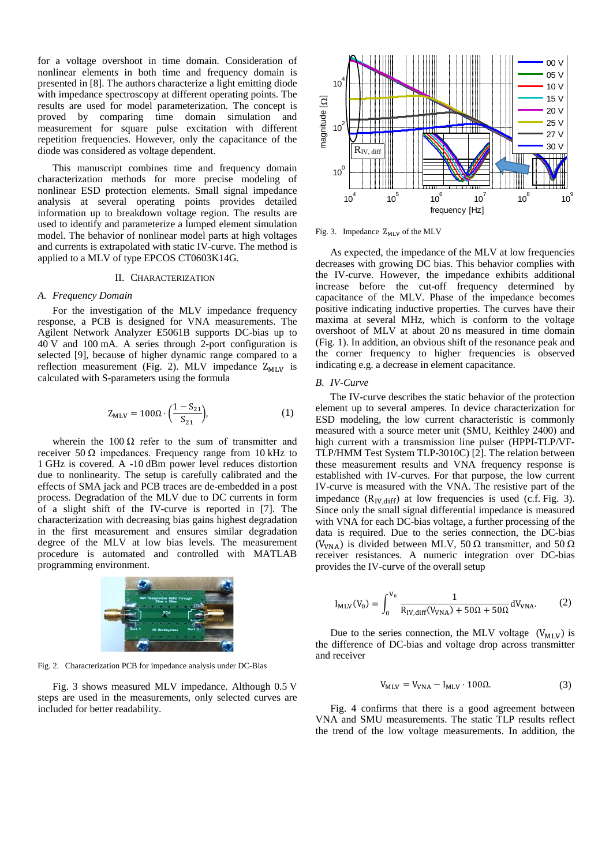for a voltage overshoot in time domain. Consideration of nonlinear elements in both time and frequency domain is presented in [\[8\].](#page-5-7) The authors characterize a light emitting diode with impedance spectroscopy at different operating points. The results are used for model parameterization. The concept is proved by comparing time domain simulation and measurement for square pulse excitation with different repetition frequencies. However, only the capacitance of the diode was considered as voltage dependent.

This manuscript combines time and frequency domain characterization methods for more precise modeling of nonlinear ESD protection elements. Small signal impedance analysis at several operating points provides detailed information up to breakdown voltage region. The results are used to identify and parameterize a lumped element simulation model. The behavior of nonlinear model parts at high voltages and currents is extrapolated with static IV-curve. The method is applied to a MLV of type EPCOS CT0603K14G.

## II. CHARACTERIZATION

#### *A. Frequency Domain*

For the investigation of the MLV impedance frequency response, a PCB is designed for VNA measurements. The Agilent Network Analyzer E5061B supports DC-bias up to 40 V and 100 mA. A series through 2-port configuration is selected [\[9\],](#page-5-8) because of higher dynamic range compared to a reflection measurement [\(Fig. 2\)](#page-1-0). MLV impedance  $Z_{MLV}$  is calculated with S-parameters using the formula

$$
Z_{MLV} = 100\Omega \cdot \left(\frac{1 - S_{21}}{S_{21}}\right),\tag{1}
$$

wherein the  $100 \Omega$  refer to the sum of transmitter and receiver 50  $\Omega$  impedances. Frequency range from 10 kHz to 1 GHz is covered. A -10 dBm power level reduces distortion due to nonlinearity. The setup is carefully calibrated and the effects of SMA jack and PCB traces are de-embedded in a post process. Degradation of the MLV due to DC currents in form of a slight shift of the IV-curve is reported in [\[7\].](#page-5-6) The characterization with decreasing bias gains highest degradation in the first measurement and ensures similar degradation degree of the MLV at low bias levels. The measurement procedure is automated and controlled with MATLAB programming environment.



Fig. 2. Characterization PCB for impedance analysis under DC-Bias

<span id="page-1-0"></span>[Fig. 3](#page-1-1) shows measured MLV impedance. Although 0.5 V steps are used in the measurements, only selected curves are included for better readability.



<span id="page-1-1"></span>Fig. 3. Impedance  $Z_{MLV}$  of the MLV

As expected, the impedance of the MLV at low frequencies decreases with growing DC bias. This behavior complies with the IV-curve. However, the impedance exhibits additional increase before the cut-off frequency determined by capacitance of the MLV. Phase of the impedance becomes positive indicating inductive properties. The curves have their maxima at several MHz, which is conform to the voltage overshoot of MLV at about 20 ns measured in time domain [\(Fig. 1\)](#page-0-0). In addition, an obvious shift of the resonance peak and the corner frequency to higher frequencies is observed indicating e.g. a decrease in element capacitance.

## *B. IV-Curve*

The IV-curve describes the static behavior of the protection element up to several amperes. In device characterization for ESD modeling, the low current characteristic is commonly measured with a source meter unit (SMU, Keithley 2400) and high current with a transmission line pulser (HPPI-TLP/VF-TLP/HMM Test System TLP-3010C) [\[2\].](#page-5-1) The relation between these measurement results and VNA frequency response is established with IV-curves. For that purpose, the low current IV-curve is measured with the VNA. The resistive part of the impedance  $(R<sub>IV,diff</sub>)$  at low frequencies is used (c.f. [Fig. 3\)](#page-1-1). Since only the small signal differential impedance is measured with VNA for each DC-bias voltage, a further processing of the data is required. Due to the series connection, the DC-bias (V<sub>VNA</sub>) is divided between MLV, 50  $\Omega$  transmitter, and 50  $\Omega$ receiver resistances. A numeric integration over DC-bias provides the IV-curve of the overall setup

$$
I_{MLV}(V_0) = \int_0^{V_0} \frac{1}{R_{IV,diff}(V_{VNA}) + 50\Omega + 50\Omega} dV_{VNA}.
$$
 (2)

Due to the series connection, the MLV voltage  $(V_{MLV})$  is the difference of DC-bias and voltage drop across transmitter and receiver

$$
V_{\text{MLV}} = V_{\text{VNA}} - I_{\text{MLV}} \cdot 100\Omega. \tag{3}
$$

[Fig. 4](#page-2-0) confirms that there is a good agreement between VNA and SMU measurements. The static TLP results reflect the trend of the low voltage measurements. In addition, the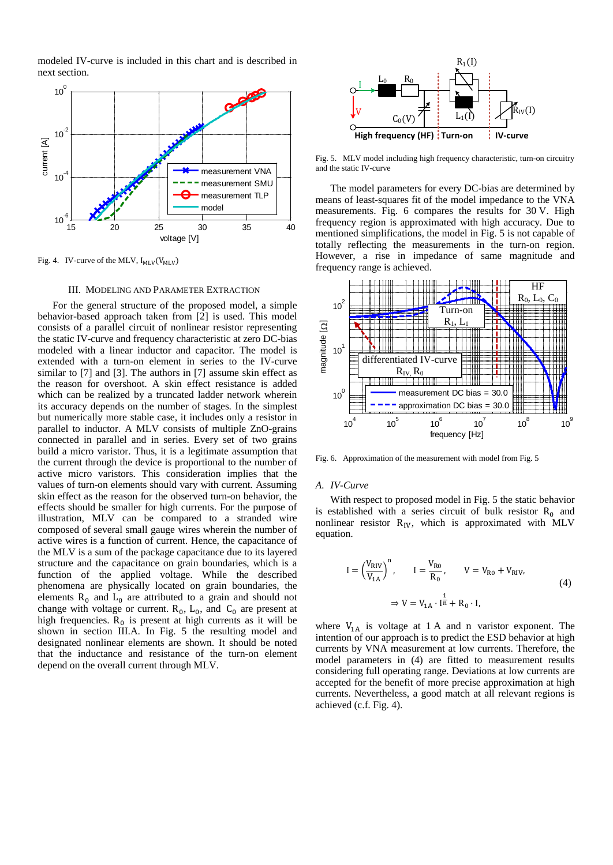modeled IV-curve is included in this chart and is described in next section.



<span id="page-2-4"></span><span id="page-2-0"></span>Fig. 4. IV-curve of the MLV,  $I_{MLV}(V_{MLV})$ 

## III. MODELING AND PARAMETER EXTRACTION

For the general structure of the proposed model, a simple behavior-based approach taken from [\[2\]](#page-5-1) is used. This model consists of a parallel circuit of nonlinear resistor representing the static IV-curve and frequency characteristic at zero DC-bias modeled with a linear inductor and capacitor. The model is extended with a turn-on element in series to the IV-curve similar to [\[7\]](#page-5-6) and [\[3\].](#page-5-2) The authors in [\[7\]](#page-5-6) assume skin effect as the reason for overshoot. A skin effect resistance is added which can be realized by a truncated ladder network wherein its accuracy depends on the number of stages. In the simplest but numerically more stable case, it includes only a resistor in parallel to inductor. A MLV consists of multiple ZnO-grains connected in parallel and in series. Every set of two grains build a micro varistor. Thus, it is a legitimate assumption that the current through the device is proportional to the number of active micro varistors. This consideration implies that the values of turn-on elements should vary with current. Assuming skin effect as the reason for the observed turn-on behavior, the effects should be smaller for high currents. For the purpose of illustration, MLV can be compared to a stranded wire composed of several small gauge wires wherein the number of active wires is a function of current. Hence, the capacitance of the MLV is a sum of the package capacitance due to its layered structure and the capacitance on grain boundaries, which is a function of the applied voltage. While the described phenomena are physically located on grain boundaries, the elements  $R_0$  and  $L_0$  are attributed to a grain and should not change with voltage or current.  $R_0$ ,  $L_0$ , and  $C_0$  are present at high frequencies.  $R_0$  is present at high currents as it will be shown in section [III.A.](#page-2-1) In [Fig. 5](#page-2-2) the resulting model and designated nonlinear elements are shown. It should be noted that the inductance and resistance of the turn-on element depend on the overall current through MLV.



<span id="page-2-2"></span>Fig. 5. MLV model including high frequency characteristic, turn-on circuitry and the static IV-curve

The model parameters for every DC-bias are determined by means of least-squares fit of the model impedance to the VNA measurements. [Fig. 6](#page-2-3) compares the results for 30 V. High frequency region is approximated with high accuracy. Due to mentioned simplifications, the model in [Fig. 5](#page-2-2) is not capable of totally reflecting the measurements in the turn-on region. However, a rise in impedance of same magnitude and frequency range is achieved.



<span id="page-2-3"></span>Fig. 6. Approximation of the measurement with model from Fig. 5

## <span id="page-2-1"></span>*A. IV-Curve*

With respect to proposed model i[n Fig. 5](#page-2-2) the static behavior is established with a series circuit of bulk resistor  $R_0$  and nonlinear resistor  $R_{IV}$ , which is approximated with MLV equation.

$$
I = \left(\frac{V_{RIV}}{V_{1A}}\right)^{n}, \qquad I = \frac{V_{R0}}{R_{0}}, \qquad V = V_{R0} + V_{RIV},
$$
  

$$
\Rightarrow V = V_{1A} \cdot I_{n}^{\frac{1}{n}} + R_{0} \cdot I,
$$
 (4)

where  $V_{1A}$  is voltage at 1 A and n varistor exponent. The intention of our approach is to predict the ESD behavior at high currents by VNA measurement at low currents. Therefore, the model parameters in (4) are fitted to measurement results considering full operating range. Deviations at low currents are accepted for the benefit of more precise approximation at high currents. Nevertheless, a good match at all relevant regions is achieved (c.f[. Fig. 4\)](#page-2-0).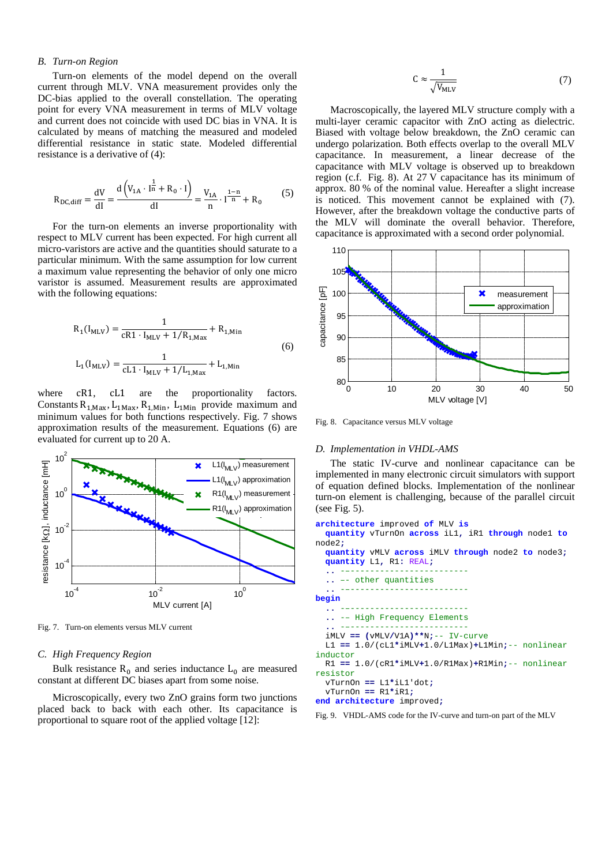# <span id="page-3-2"></span>*B. Turn-on Region*

Turn-on elements of the model depend on the overall current through MLV. VNA measurement provides only the DC-bias applied to the overall constellation. The operating point for every VNA measurement in terms of MLV voltage and current does not coincide with used DC bias in VNA. It is calculated by means of matching the measured and modeled differential resistance in static state. Modeled differential resistance is a derivative of (4):

$$
R_{DC,diff} = \frac{dV}{dl} = \frac{d\left(V_{1A} \cdot I^{\frac{1}{n}} + R_0 \cdot I\right)}{dl} = \frac{V_{1A}}{n} \cdot I^{\frac{1-n}{n}} + R_0 \tag{5}
$$

For the turn-on elements an inverse proportionality with respect to MLV current has been expected. For high current all micro-varistors are active and the quantities should saturate to a particular minimum. With the same assumption for low current a maximum value representing the behavior of only one micro varistor is assumed. Measurement results are approximated with the following equations:

$$
R_1(I_{MLV}) = \frac{1}{cR1 \cdot I_{MLV} + 1/R_{1,Max}} + R_{1,Min}
$$
  
(6)  

$$
L_1(I_{MLV}) = \frac{1}{cL1 \cdot I_{MLV} + 1/L_{1,Max}} + L_{1,Min}
$$

where  $cR1$ ,  $cL1$  are the proportionality factors. Constants  $R_{1,Max}$ ,  $L_{1Max}$ ,  $R_{1,Min}$ ,  $L_{1Min}$  provide maximum and minimum values for both functions respectively. [Fig. 7](#page-3-0) shows approximation results of the measurement. Equations (6) are evaluated for current up to 20 A.



<span id="page-3-0"></span>Fig. 7. Turn-on elements versus MLV current

# *C. High Frequency Region*

Bulk resistance  $R_0$  and series inductance  $L_0$  are measured constant at different DC biases apart from some noise.

Microscopically, every two ZnO grains form two junctions placed back to back with each other. Its capacitance is proportional to square root of the applied voltage [\[12\]:](#page-5-9)

$$
C \approx \frac{1}{\sqrt{V_{\text{MLV}}}}\tag{7}
$$

Macroscopically, the layered MLV structure comply with a multi-layer ceramic capacitor with ZnO acting as dielectric. Biased with voltage below breakdown, the ZnO ceramic can undergo polarization. Both effects overlap to the overall MLV capacitance. In measurement, a linear decrease of the capacitance with MLV voltage is observed up to breakdown region (c.f. [Fig. 8\)](#page-3-1). At 27 V capacitance has its minimum of approx. 80 % of the nominal value. Hereafter a slight increase is noticed. This movement cannot be explained with (7). However, after the breakdown voltage the conductive parts of the MLV will dominate the overall behavior. Therefore, capacitance is approximated with a second order polynomial.



<span id="page-3-1"></span>Fig. 8. Capacitance versus MLV voltage

## *D. Implementation in VHDL-AMS*

The static IV-curve and nonlinear capacitance can be implemented in many electronic circuit simulators with support of equation defined blocks. Implementation of the nonlinear turn-on element is challenging, because of the parallel circuit (see [Fig. 5\)](#page-2-2).

```
architecture improved of MLV is
   quantity vTurnOn across iL1, iR1 through node1 to
node2;
   quantity vMLV across iMLV through node2 to node3;
   quantity L1, R1: REAL;
 .. -–------------------------
   .. –- other quantities
 .. -–------------------------
begin
 .. -–------------------------
 .. -– High Frequency Elements
 .. -–------------------------
 iMLV == (vMLV/V1A)**N;-- IV-curve
   L1 == 1.0/(cL1*iMLV+1.0/L1Max)+L1Min;-- nonlinear 
inductor
   R1 == 1.0/(cR1*iMLV+1.0/R1Max)+R1Min;-- nonlinear 
resistor
   vTurnOn == L1*iL1'dot;
   vTurnOn == R1*iR1;
end architecture improved;
```
<span id="page-3-3"></span>Fig. 9. VHDL-AMS code for the IV-curve and turn-on part of the MLV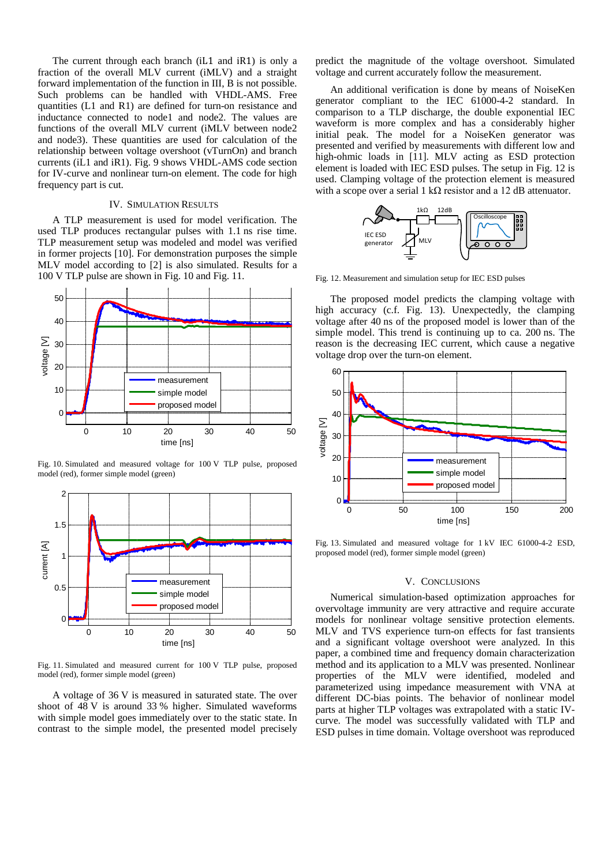The current through each branch (iL1 and iR1) is only a fraction of the overall MLV current (iMLV) and a straight forward implementation of the function in [III,](#page-2-4) [B](#page-3-2) is not possible. Such problems can be handled with VHDL-AMS. Free quantities (L1 and R1) are defined for turn-on resistance and inductance connected to node1 and node2. The values are functions of the overall MLV current (iMLV between node2 and node3). These quantities are used for calculation of the relationship between voltage overshoot (vTurnOn) and branch currents (iL1 and iR1)[. Fig. 9](#page-3-3) shows VHDL-AMS code section for IV-curve and nonlinear turn-on element. The code for high frequency part is cut.

## IV. SIMULATION RESULTS

A TLP measurement is used for model verification. The used TLP produces rectangular pulses with 1.1 ns rise time. TLP measurement setup was modeled and model was verified in former projects [\[10\].](#page-5-10) For demonstration purposes the simple MLV model according to [\[2\]](#page-5-1) is also simulated. Results for a 100 V TLP pulse are shown in [Fig. 10](#page-4-0) and [Fig. 11.](#page-4-1)



<span id="page-4-0"></span>Fig. 10. Simulated and measured voltage for 100 V TLP pulse, proposed model (red), former simple model (green)



<span id="page-4-1"></span>Fig. 11. Simulated and measured current for 100 V TLP pulse, proposed model (red), former simple model (green)

A voltage of 36 V is measured in saturated state. The over shoot of 48 V is around 33 % higher. Simulated waveforms with simple model goes immediately over to the static state. In contrast to the simple model, the presented model precisely

predict the magnitude of the voltage overshoot. Simulated voltage and current accurately follow the measurement.

An additional verification is done by means of NoiseKen generator compliant to the IEC 61000-4-2 standard. In comparison to a TLP discharge, the double exponential IEC waveform is more complex and has a considerably higher initial peak. The model for a NoiseKen generator was presented and verified by measurements with different low and high-ohmic loads in [\[11\].](#page-5-11) MLV acting as ESD protection element is loaded with IEC ESD pulses. The setup in [Fig. 12](#page-4-2) is used. Clamping voltage of the protection element is measured with a scope over a serial 1 kΩ resistor and a 12 dB attenuator.



<span id="page-4-2"></span>Fig. 12. Measurement and simulation setup for IEC ESD pulses

The proposed model predicts the clamping voltage with high accuracy (c.f. [Fig. 13\)](#page-4-3). Unexpectedly, the clamping voltage after 40 ns of the proposed model is lower than of the simple model. This trend is continuing up to ca. 200 ns. The reason is the decreasing IEC current, which cause a negative voltage drop over the turn-on element.



<span id="page-4-3"></span>Fig. 13. Simulated and measured voltage for 1 kV IEC 61000-4-2 ESD, proposed model (red), former simple model (green)

#### V. CONCLUSIONS

Numerical simulation-based optimization approaches for overvoltage immunity are very attractive and require accurate models for nonlinear voltage sensitive protection elements. MLV and TVS experience turn-on effects for fast transients and a significant voltage overshoot were analyzed. In this paper, a combined time and frequency domain characterization method and its application to a MLV was presented. Nonlinear properties of the MLV were identified, modeled and parameterized using impedance measurement with VNA at different DC-bias points. The behavior of nonlinear model parts at higher TLP voltages was extrapolated with a static IVcurve. The model was successfully validated with TLP and ESD pulses in time domain. Voltage overshoot was reproduced